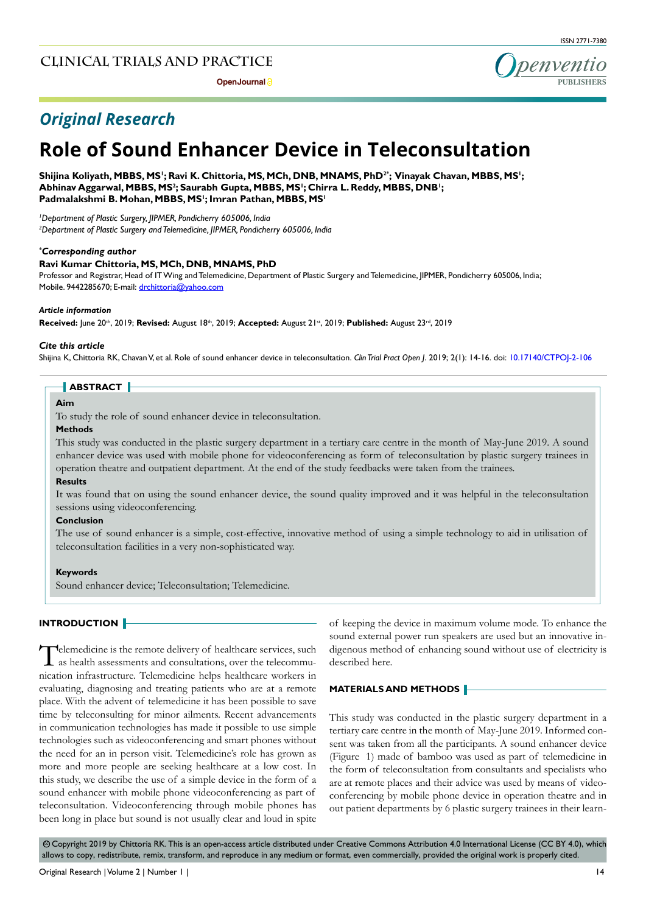**Open Journal P** 





# *Original Research*

# **Role of Sound Enhancer Device in Teleconsultation**

### **Shijina Koliyath, MBBS, MS1 ; Ravi K. Chittoria, MS, MCh, DNB, MNAMS, PhD2\* ; Vinayak Chavan, MBBS, MS1 ; Abhinav Aggarwal, MBBS, MS2 ; Saurabh Gupta, MBBS, MS1 ; Chirra L. Reddy, MBBS, DNB1 ; Padmalakshmi B. Mohan, MBBS, MS1 ; Imran Pathan, MBBS, MS1**

*1 Department of Plastic Surgery, JIPMER, Pondicherry 605006, India 2 Department of Plastic Surgery and Telemedicine, JIPMER, Pondicherry 605006, India*

### *\* Corresponding author*

#### **Ravi Kumar Chittoria, MS, MCh, DNB, MNAMS, PhD**

Professor and Registrar, Head of IT Wing and Telemedicine, Department of Plastic Surgery and Telemedicine, JIPMER, Pondicherry 605006, India; Mobile. 9442285670; E-mail: drchittoria@yahoo.com

#### *Article information*

**Received:** June 20th, 2019; **Revised:** August 18th, 2019; **Accepted:** August 21st, 2019; **Published:** August 23rd, 2019

#### *Cite this article*

Shijina K, Chittoria RK, Chavan V, et al. Role of sound enhancer device in teleconsultation. *Clin Trial Pract Open J*. 2019; 2(1): 14-16. doi: [10.17140/CTPOJ-2-106](http://dx.doi.org/10.17140/CTPOJ-2-106)

# **ABSTRACT**

# **Aim**

To study the role of sound enhancer device in teleconsultation.

#### **Methods**

This study was conducted in the plastic surgery department in a tertiary care centre in the month of May-June 2019. A sound enhancer device was used with mobile phone for videoconferencing as form of teleconsultation by plastic surgery trainees in operation theatre and outpatient department. At the end of the study feedbacks were taken from the trainees.

## **Results**

It was found that on using the sound enhancer device, the sound quality improved and it was helpful in the teleconsultation sessions using videoconferencing.

#### **Conclusion**

The use of sound enhancer is a simple, cost-effective, innovative method of using a simple technology to aid in utilisation of teleconsultation facilities in a very non-sophisticated way.

#### **Keywords**

Sound enhancer device; Teleconsultation; Telemedicine.

### **INTRODUCTION**

Telemedicine is the remote delivery of healthcare services, such as health assessments and consultations, over the telecommunication infrastructure. Telemedicine helps healthcare workers in evaluating, diagnosing and treating patients who are at a remote place. With the advent of telemedicine it has been possible to save time by teleconsulting for minor ailments. Recent advancements in communication technologies has made it possible to use simple technologies such as videoconferencing and smart phones without the need for an in person visit. Telemedicine's role has grown as more and more people are seeking healthcare at a low cost. In this study, we describe the use of a simple device in the form of a sound enhancer with mobile phone videoconferencing as part of teleconsultation. Videoconferencing through mobile phones has been long in place but sound is not usually clear and loud in spite

of keeping the device in maximum volume mode. To enhance the sound external power run speakers are used but an innovative indigenous method of enhancing sound without use of electricity is described here.

## **MATERIALS AND METHODS**

This study was conducted in the plastic surgery department in a tertiary care centre in the month of May-June 2019. Informed consent was taken from all the participants. A sound enhancer device (Figure 1) made of bamboo was used as part of telemedicine in the form of teleconsultation from consultants and specialists who are at remote places and their advice was used by means of videoconferencing by mobile phone device in operation theatre and in out patient departments by 6 plastic surgery trainees in their learn-

© Copyright 2019 by Chittoria RK. This is an open-access article distributed under Creative Commons Attribution 4.0 International License (CC BY 4.0), which allows to copy, redistribute, remix, transform, and reproduce in any medium or format, even commercially, provided the original work is properly cited.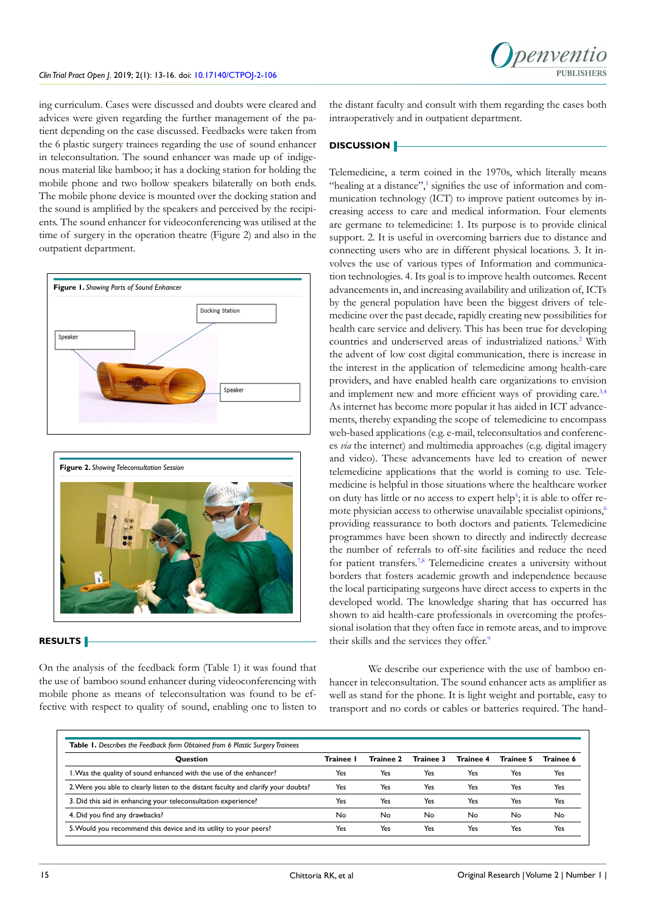ing curriculum. Cases were discussed and doubts were cleared and advices were given regarding the further management of the patient depending on the case discussed. Feedbacks were taken from the 6 plastic surgery trainees regarding the use of sound enhancer in teleconsultation. The sound enhancer was made up of indigenous material like bamboo; it has a docking station for holding the mobile phone and two hollow speakers bilaterally on both ends. The mobile phone device is mounted over the docking station and the sound is amplified by the speakers and perceived by the recipients. The sound enhancer for videoconferencing was utilised at the time of surgery in the operation theatre (Figure 2) and also in the outpatient department.





## **RESULTS**

On the analysis of the feedback form (Table 1) it was found that the use of bamboo sound enhancer during videoconferencing with mobile phone as means of teleconsultation was found to be effective with respect to quality of sound, enabling one to listen to

the distant faculty and consult with them regarding the cases both intraoperatively and in outpatient department.

### **DISCUSSION**

Telemedicine, a term coined in the 1970s, which literally means "healing at a distance", $\frac{1}{2}$  signifies the use of information and communication technology (ICT) to improve patient outcomes by increasing access to care and medical information. Four elements are germane to telemedicine: 1. Its purpose is to provide clinical support. 2. It is useful in overcoming barriers due to distance and connecting users who are in different physical locations. 3. It involves the use of various types of Information and communication technologies. 4. Its goal is to improve health outcomes. Recent advancements in, and increasing availability and utilization of, ICTs by the general population have been the biggest drivers of telemedicine over the past decade, rapidly creating new possibilities for health care service and delivery. This has been true for developing countries and underserved areas of industrialized nations.<sup>[2](#page-2-1)</sup> With the advent of low cost digital communication, there is increase in the interest in the application of telemedicine among health-care providers, and have enabled health care organizations to envision and implement new and more efficient ways of providing care.<sup>[3,4](#page-2-2)</sup> As internet has become more popular it has aided in ICT advancements, thereby expanding the scope of telemedicine to encompass web-based applications (e.g. e-mail, teleconsultatios and conferences *via* the internet) and multimedia approaches (e.g. digital imagery and video). These advancements have led to creation of newer telemedicine applications that the world is coming to use. Telemedicine is helpful in those situations where the healthcare worker on duty has little or no access to expert help<sup>[5](#page-2-3)</sup>; it is able to offer re-mote physician access to otherwise unavailable specialist opinions,<sup>[6](#page-2-4)</sup> providing reassurance to both doctors and patients. Telemedicine programmes have been shown to directly and indirectly decrease the number of referrals to off-site facilities and reduce the need for patient transfers.[7,8](#page-2-5) Telemedicine creates a university without borders that fosters academic growth and independence because the local participating surgeons have direct access to experts in the developed world. The knowledge sharing that has occurred has shown to aid health-care professionals in overcoming the professional isolation that they often face in remote areas, and to improve their skills and the services they offer[.9](#page-2-6)

We describe our experience with the use of bamboo enhancer in teleconsultation. The sound enhancer acts as amplifier as well as stand for the phone. It is light weight and portable, easy to transport and no cords or cables or batteries required. The hand-

| <b>Table 1.</b> Describes the Feedback form Obtained from 6 Plastic Surgery Trainees |         |           |           |           |           |           |
|--------------------------------------------------------------------------------------|---------|-----------|-----------|-----------|-----------|-----------|
| <b>Ouestion</b>                                                                      | Trainee | Trainee 2 | Trainee 3 | Trainee 4 | Trainee 5 | Trainee 6 |
| I. Was the quality of sound enhanced with the use of the enhancer?                   | Yes     | Yes       | Yes       | Yes       | Yes       | Yes       |
| 2. Were you able to clearly listen to the distant faculty and clarify your doubts?   | Yes     | Yes       | Yes       | Yes       | Yes       | Yes       |
| 3. Did this aid in enhancing your teleconsultation experience?                       | Yes     | Yes       | Yes       | Yes       | Yes       | Yes       |
| 4. Did you find any drawbacks?                                                       | No      | No        | No        | No        | No        | No        |
| 5. Would you recommend this device and its utility to your peers?                    | Yes     | Yes       | Yes       | Yes       | Yes       | Yes       |